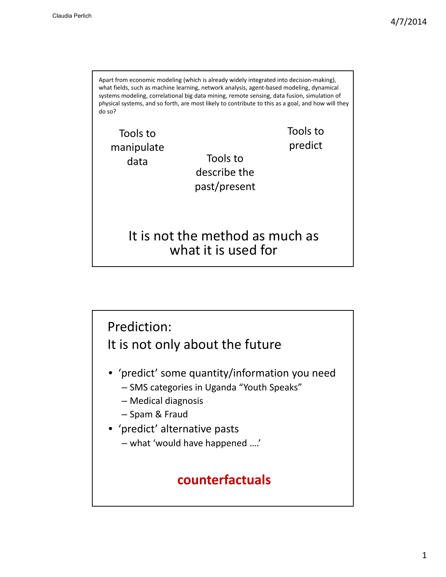Tools to describe the past/present Apart from economic modeling (which is already widely integrated into decision-making), what fields, such as machine learning, network analysis, agent‐based modeling, dynamical systems modeling, correlational big data mining, remote sensing, data fusion, simulation of physical systems, and so forth, are most likely to contribute to this as a goal, and how will they do so? Tools to manipulate data Tools to predict It is not the method as much as what it is used for

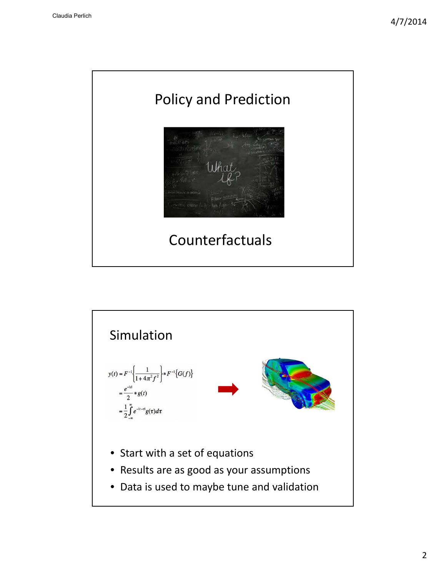

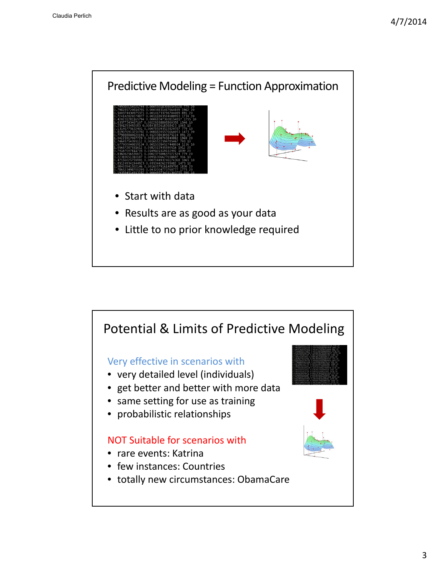

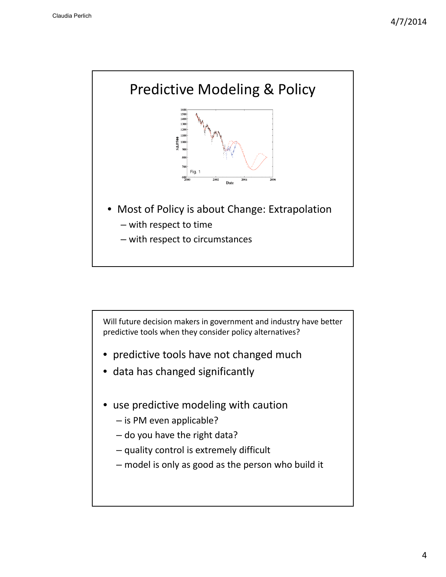